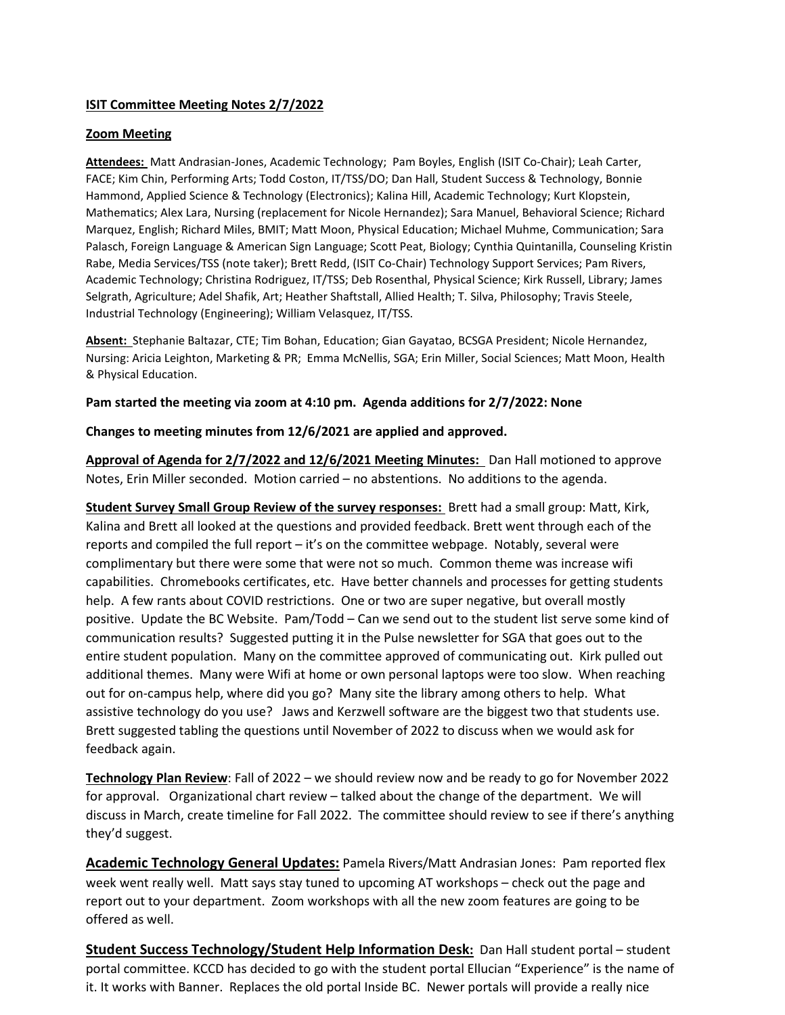## **ISIT Committee Meeting Notes 2/7/2022**

## **Zoom Meeting**

**Attendees:** Matt Andrasian-Jones, Academic Technology; Pam Boyles, English (ISIT Co-Chair); Leah Carter, FACE; Kim Chin, Performing Arts; Todd Coston, IT/TSS/DO; Dan Hall, Student Success & Technology, Bonnie Hammond, Applied Science & Technology (Electronics); Kalina Hill, Academic Technology; Kurt Klopstein, Mathematics; Alex Lara, Nursing (replacement for Nicole Hernandez); Sara Manuel, Behavioral Science; Richard Marquez, English; Richard Miles, BMIT; Matt Moon, Physical Education; Michael Muhme, Communication; Sara Palasch, Foreign Language & American Sign Language; Scott Peat, Biology; Cynthia Quintanilla, Counseling Kristin Rabe, Media Services/TSS (note taker); Brett Redd, (ISIT Co-Chair) Technology Support Services; Pam Rivers, Academic Technology; Christina Rodriguez, IT/TSS; Deb Rosenthal, Physical Science; Kirk Russell, Library; James Selgrath, Agriculture; Adel Shafik, Art; Heather Shaftstall, Allied Health; T. Silva, Philosophy; Travis Steele, Industrial Technology (Engineering); William Velasquez, IT/TSS.

**Absent:** Stephanie Baltazar, CTE; Tim Bohan, Education; Gian Gayatao, BCSGA President; Nicole Hernandez, Nursing: Aricia Leighton, Marketing & PR; Emma McNellis, SGA; Erin Miller, Social Sciences; Matt Moon, Health & Physical Education.

## **Pam started the meeting via zoom at 4:10 pm. Agenda additions for 2/7/2022: None**

#### **Changes to meeting minutes from 12/6/2021 are applied and approved.**

**Approval of Agenda for 2/7/2022 and 12/6/2021 Meeting Minutes:** Dan Hall motioned to approve Notes, Erin Miller seconded. Motion carried – no abstentions. No additions to the agenda.

**Student Survey Small Group Review of the survey responses:** Brett had a small group: Matt, Kirk, Kalina and Brett all looked at the questions and provided feedback. Brett went through each of the reports and compiled the full report – it's on the committee webpage. Notably, several were complimentary but there were some that were not so much. Common theme was increase wifi capabilities. Chromebooks certificates, etc. Have better channels and processes for getting students help. A few rants about COVID restrictions. One or two are super negative, but overall mostly positive. Update the BC Website. Pam/Todd – Can we send out to the student list serve some kind of communication results? Suggested putting it in the Pulse newsletter for SGA that goes out to the entire student population. Many on the committee approved of communicating out. Kirk pulled out additional themes. Many were Wifi at home or own personal laptops were too slow. When reaching out for on-campus help, where did you go? Many site the library among others to help. What assistive technology do you use? Jaws and Kerzwell software are the biggest two that students use. Brett suggested tabling the questions until November of 2022 to discuss when we would ask for feedback again.

**Technology Plan Review**: Fall of 2022 – we should review now and be ready to go for November 2022 for approval. Organizational chart review – talked about the change of the department. We will discuss in March, create timeline for Fall 2022. The committee should review to see if there's anything they'd suggest.

**Academic Technology General Updates:** Pamela Rivers/Matt Andrasian Jones: Pam reported flex week went really well. Matt says stay tuned to upcoming AT workshops – check out the page and report out to your department. Zoom workshops with all the new zoom features are going to be offered as well.

**Student Success Technology/Student Help Information Desk:** Dan Hall student portal – student portal committee. KCCD has decided to go with the student portal Ellucian "Experience" is the name of it. It works with Banner. Replaces the old portal Inside BC. Newer portals will provide a really nice